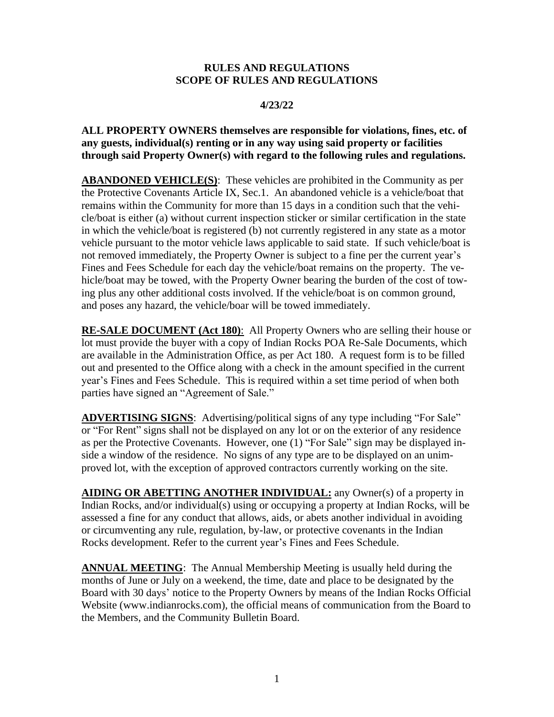#### **RULES AND REGULATIONS SCOPE OF RULES AND REGULATIONS**

#### **4/23/22**

**ALL PROPERTY OWNERS themselves are responsible for violations, fines, etc. of any guests, individual(s) renting or in any way using said property or facilities through said Property Owner(s) with regard to the following rules and regulations.**

**ABANDONED VEHICLE(S)**: These vehicles are prohibited in the Community as per the Protective Covenants Article IX, Sec.1. An abandoned vehicle is a vehicle/boat that remains within the Community for more than 15 days in a condition such that the vehicle/boat is either (a) without current inspection sticker or similar certification in the state in which the vehicle/boat is registered (b) not currently registered in any state as a motor vehicle pursuant to the motor vehicle laws applicable to said state. If such vehicle/boat is not removed immediately, the Property Owner is subject to a fine per the current year's Fines and Fees Schedule for each day the vehicle/boat remains on the property. The vehicle/boat may be towed, with the Property Owner bearing the burden of the cost of towing plus any other additional costs involved. If the vehicle/boat is on common ground, and poses any hazard, the vehicle/boar will be towed immediately.

**RE-SALE DOCUMENT (Act 180)**: All Property Owners who are selling their house or lot must provide the buyer with a copy of Indian Rocks POA Re-Sale Documents, which are available in the Administration Office, as per Act 180. A request form is to be filled out and presented to the Office along with a check in the amount specified in the current year's Fines and Fees Schedule. This is required within a set time period of when both parties have signed an "Agreement of Sale."

**ADVERTISING SIGNS**: Advertising/political signs of any type including "For Sale" or "For Rent" signs shall not be displayed on any lot or on the exterior of any residence as per the Protective Covenants. However, one (1) "For Sale" sign may be displayed inside a window of the residence. No signs of any type are to be displayed on an unimproved lot, with the exception of approved contractors currently working on the site.

**AIDING OR ABETTING ANOTHER INDIVIDUAL:** any Owner(s) of a property in Indian Rocks, and/or individual(s) using or occupying a property at Indian Rocks, will be assessed a fine for any conduct that allows, aids, or abets another individual in avoiding or circumventing any rule, regulation, by-law, or protective covenants in the Indian Rocks development. Refer to the current year's Fines and Fees Schedule.

**ANNUAL MEETING**: The Annual Membership Meeting is usually held during the months of June or July on a weekend, the time, date and place to be designated by the Board with 30 days' notice to the Property Owners by means of the Indian Rocks Official Website (www.indianrocks.com), the official means of communication from the Board to the Members, and the Community Bulletin Board.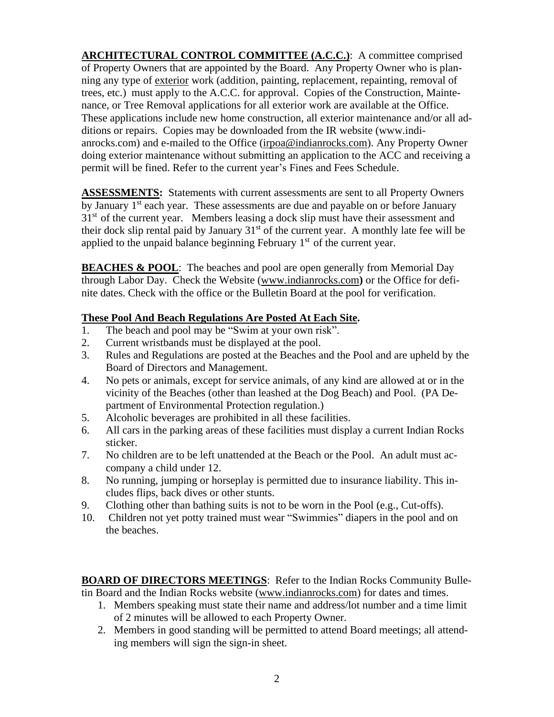**ARCHITECTURAL CONTROL COMMITTEE (A.C.C.)**: A committee comprised of Property Owners that are appointed by the Board. Any Property Owner who is planning any type of exterior work (addition, painting, replacement, repainting, removal of trees, etc.) must apply to the A.C.C. for approval. Copies of the Construction, Maintenance, or Tree Removal applications for all exterior work are available at the Office. These applications include new home construction, all exterior maintenance and/or all additions or repairs. Copies may be downloaded from the IR website (www.indianrocks.com) and e-mailed to the Office [\(irpoa@indianrocks.com\)](mailto:irpoa@indianrocks.com). Any Property Owner doing exterior maintenance without submitting an application to the ACC and receiving a permit will be fined. Refer to the current year's Fines and Fees Schedule.

**ASSESSMENTS:** Statements with current assessments are sent to all Property Owners by January 1<sup>st</sup> each year. These assessments are due and payable on or before January  $31<sup>st</sup>$  of the current year. Members leasing a dock slip must have their assessment and their dock slip rental paid by January  $31<sup>st</sup>$  of the current year. A monthly late fee will be applied to the unpaid balance beginning February  $1<sup>st</sup>$  of the current year.

**BEACHES & POOL**: The beaches and pool are open generally from Memorial Day through Labor Day. Check the Website [\(www.indianrocks.com](http://www.indianrocks.com/)**)** or the Office for definite dates. Check with the office or the Bulletin Board at the pool for verification.

## **These Pool And Beach Regulations Are Posted At Each Site.**

- 1. The beach and pool may be "Swim at your own risk".
- 2. Current wristbands must be displayed at the pool.
- 3. Rules and Regulations are posted at the Beaches and the Pool and are upheld by the Board of Directors and Management.
- 4. No pets or animals, except for service animals, of any kind are allowed at or in the vicinity of the Beaches (other than leashed at the Dog Beach) and Pool. (PA Department of Environmental Protection regulation.)
- 5. Alcoholic beverages are prohibited in all these facilities.
- 6. All cars in the parking areas of these facilities must display a current Indian Rocks sticker.
- 7. No children are to be left unattended at the Beach or the Pool. An adult must accompany a child under 12.
- 8. No running, jumping or horseplay is permitted due to insurance liability. This includes flips, back dives or other stunts.
- 9. Clothing other than bathing suits is not to be worn in the Pool (e.g., Cut-offs).
- 10. Children not yet potty trained must wear "Swimmies" diapers in the pool and on the beaches.

**BOARD OF DIRECTORS MEETINGS**: Refer to the Indian Rocks Community Bulletin Board and the Indian Rocks website [\(www.indianrocks.com\)](http://www.indianrocks.com/) for dates and times.

- 1. Members speaking must state their name and address/lot number and a time limit of 2 minutes will be allowed to each Property Owner.
- 2. Members in good standing will be permitted to attend Board meetings; all attending members will sign the sign-in sheet.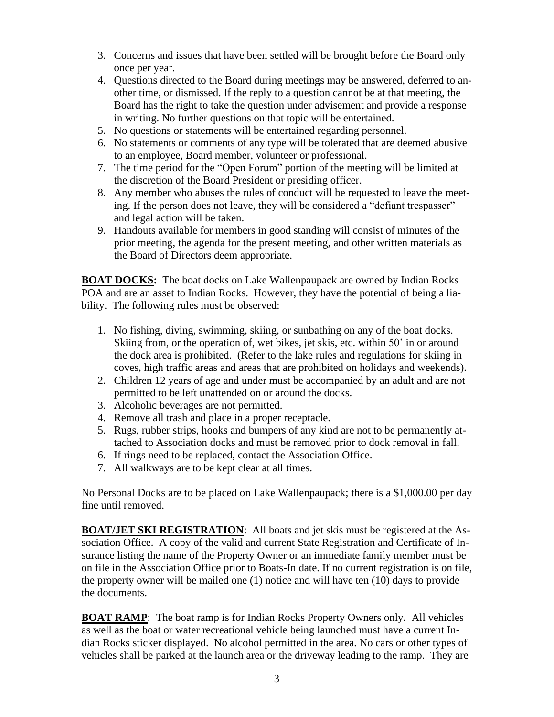- 3. Concerns and issues that have been settled will be brought before the Board only once per year.
- 4. Questions directed to the Board during meetings may be answered, deferred to another time, or dismissed. If the reply to a question cannot be at that meeting, the Board has the right to take the question under advisement and provide a response in writing. No further questions on that topic will be entertained.
- 5. No questions or statements will be entertained regarding personnel.
- 6. No statements or comments of any type will be tolerated that are deemed abusive to an employee, Board member, volunteer or professional.
- 7. The time period for the "Open Forum" portion of the meeting will be limited at the discretion of the Board President or presiding officer.
- 8. Any member who abuses the rules of conduct will be requested to leave the meeting. If the person does not leave, they will be considered a "defiant trespasser" and legal action will be taken.
- 9. Handouts available for members in good standing will consist of minutes of the prior meeting, the agenda for the present meeting, and other written materials as the Board of Directors deem appropriate.

**BOAT DOCKS:** The boat docks on Lake Wallenpaupack are owned by Indian Rocks POA and are an asset to Indian Rocks. However, they have the potential of being a liability. The following rules must be observed:

- 1. No fishing, diving, swimming, skiing, or sunbathing on any of the boat docks. Skiing from, or the operation of, wet bikes, jet skis, etc. within 50' in or around the dock area is prohibited. (Refer to the lake rules and regulations for skiing in coves, high traffic areas and areas that are prohibited on holidays and weekends).
- 2. Children 12 years of age and under must be accompanied by an adult and are not permitted to be left unattended on or around the docks.
- 3. Alcoholic beverages are not permitted.
- 4. Remove all trash and place in a proper receptacle.
- 5. Rugs, rubber strips, hooks and bumpers of any kind are not to be permanently attached to Association docks and must be removed prior to dock removal in fall.
- 6. If rings need to be replaced, contact the Association Office.
- 7. All walkways are to be kept clear at all times.

No Personal Docks are to be placed on Lake Wallenpaupack; there is a \$1,000.00 per day fine until removed.

**BOAT/JET SKI REGISTRATION**: All boats and jet skis must be registered at the Association Office. A copy of the valid and current State Registration and Certificate of Insurance listing the name of the Property Owner or an immediate family member must be on file in the Association Office prior to Boats-In date. If no current registration is on file, the property owner will be mailed one (1) notice and will have ten (10) days to provide the documents.

**BOAT RAMP**: The boat ramp is for Indian Rocks Property Owners only. All vehicles as well as the boat or water recreational vehicle being launched must have a current Indian Rocks sticker displayed. No alcohol permitted in the area. No cars or other types of vehicles shall be parked at the launch area or the driveway leading to the ramp. They are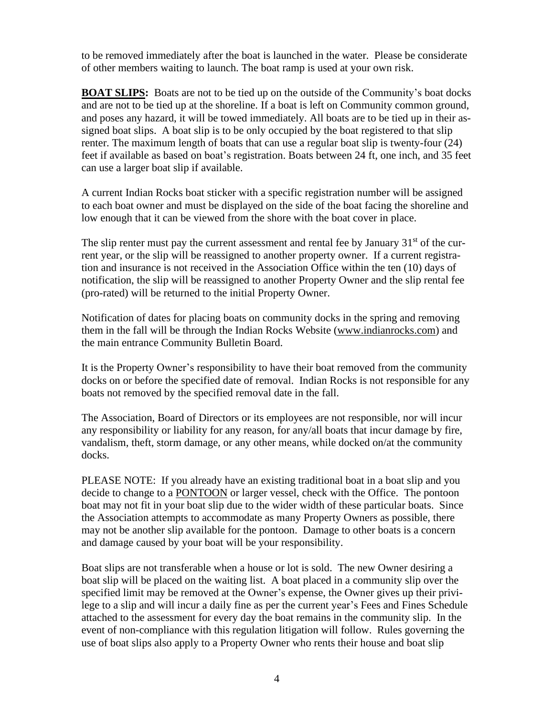to be removed immediately after the boat is launched in the water. Please be considerate of other members waiting to launch. The boat ramp is used at your own risk.

**BOAT SLIPS:** Boats are not to be tied up on the outside of the Community's boat docks and are not to be tied up at the shoreline. If a boat is left on Community common ground, and poses any hazard, it will be towed immediately. All boats are to be tied up in their assigned boat slips. A boat slip is to be only occupied by the boat registered to that slip renter. The maximum length of boats that can use a regular boat slip is twenty-four (24) feet if available as based on boat's registration. Boats between 24 ft, one inch, and 35 feet can use a larger boat slip if available.

A current Indian Rocks boat sticker with a specific registration number will be assigned to each boat owner and must be displayed on the side of the boat facing the shoreline and low enough that it can be viewed from the shore with the boat cover in place.

The slip renter must pay the current assessment and rental fee by January  $31<sup>st</sup>$  of the current year, or the slip will be reassigned to another property owner. If a current registration and insurance is not received in the Association Office within the ten (10) days of notification, the slip will be reassigned to another Property Owner and the slip rental fee (pro-rated) will be returned to the initial Property Owner.

Notification of dates for placing boats on community docks in the spring and removing them in the fall will be through the Indian Rocks Website [\(www.indianrocks.com\)](http://www.indianrocks.com/) and the main entrance Community Bulletin Board.

It is the Property Owner's responsibility to have their boat removed from the community docks on or before the specified date of removal. Indian Rocks is not responsible for any boats not removed by the specified removal date in the fall.

The Association, Board of Directors or its employees are not responsible, nor will incur any responsibility or liability for any reason, for any/all boats that incur damage by fire, vandalism, theft, storm damage, or any other means, while docked on/at the community docks.

PLEASE NOTE: If you already have an existing traditional boat in a boat slip and you decide to change to a **PONTOON** or larger vessel, check with the Office. The pontoon boat may not fit in your boat slip due to the wider width of these particular boats. Since the Association attempts to accommodate as many Property Owners as possible, there may not be another slip available for the pontoon. Damage to other boats is a concern and damage caused by your boat will be your responsibility.

Boat slips are not transferable when a house or lot is sold. The new Owner desiring a boat slip will be placed on the waiting list. A boat placed in a community slip over the specified limit may be removed at the Owner's expense, the Owner gives up their privilege to a slip and will incur a daily fine as per the current year's Fees and Fines Schedule attached to the assessment for every day the boat remains in the community slip. In the event of non-compliance with this regulation litigation will follow. Rules governing the use of boat slips also apply to a Property Owner who rents their house and boat slip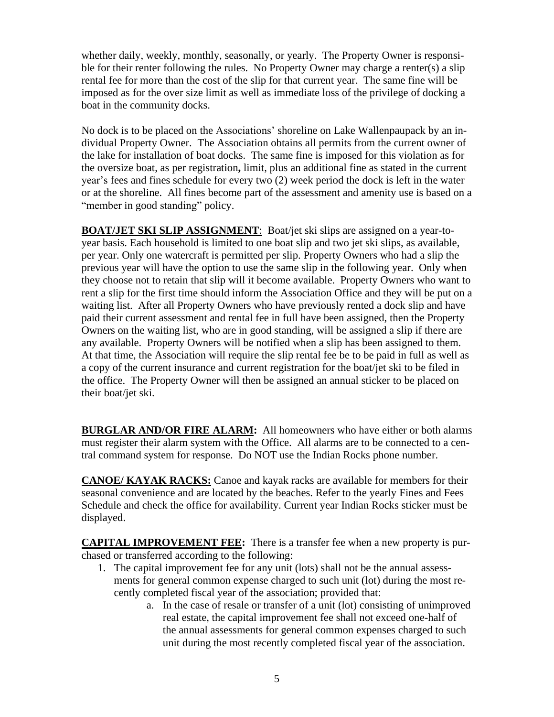whether daily, weekly, monthly, seasonally, or yearly. The Property Owner is responsible for their renter following the rules. No Property Owner may charge a renter(s) a slip rental fee for more than the cost of the slip for that current year. The same fine will be imposed as for the over size limit as well as immediate loss of the privilege of docking a boat in the community docks.

No dock is to be placed on the Associations' shoreline on Lake Wallenpaupack by an individual Property Owner. The Association obtains all permits from the current owner of the lake for installation of boat docks. The same fine is imposed for this violation as for the oversize boat, as per registration**,** limit, plus an additional fine as stated in the current year's fees and fines schedule for every two (2) week period the dock is left in the water or at the shoreline. All fines become part of the assessment and amenity use is based on a "member in good standing" policy.

**BOAT/JET SKI SLIP ASSIGNMENT**: Boat/jet ski slips are assigned on a year-toyear basis. Each household is limited to one boat slip and two jet ski slips, as available, per year. Only one watercraft is permitted per slip. Property Owners who had a slip the previous year will have the option to use the same slip in the following year. Only when they choose not to retain that slip will it become available. Property Owners who want to rent a slip for the first time should inform the Association Office and they will be put on a waiting list. After all Property Owners who have previously rented a dock slip and have paid their current assessment and rental fee in full have been assigned, then the Property Owners on the waiting list, who are in good standing, will be assigned a slip if there are any available. Property Owners will be notified when a slip has been assigned to them. At that time, the Association will require the slip rental fee be to be paid in full as well as a copy of the current insurance and current registration for the boat/jet ski to be filed in the office. The Property Owner will then be assigned an annual sticker to be placed on their boat/jet ski.

**BURGLAR AND/OR FIRE ALARM:** All homeowners who have either or both alarms must register their alarm system with the Office. All alarms are to be connected to a central command system for response. Do NOT use the Indian Rocks phone number.

**CANOE/ KAYAK RACKS:** Canoe and kayak racks are available for members for their seasonal convenience and are located by the beaches. Refer to the yearly Fines and Fees Schedule and check the office for availability. Current year Indian Rocks sticker must be displayed.

**CAPITAL IMPROVEMENT FEE:** There is a transfer fee when a new property is purchased or transferred according to the following:

- 1. The capital improvement fee for any unit (lots) shall not be the annual assessments for general common expense charged to such unit (lot) during the most recently completed fiscal year of the association; provided that:
	- a. In the case of resale or transfer of a unit (lot) consisting of unimproved real estate, the capital improvement fee shall not exceed one-half of the annual assessments for general common expenses charged to such unit during the most recently completed fiscal year of the association.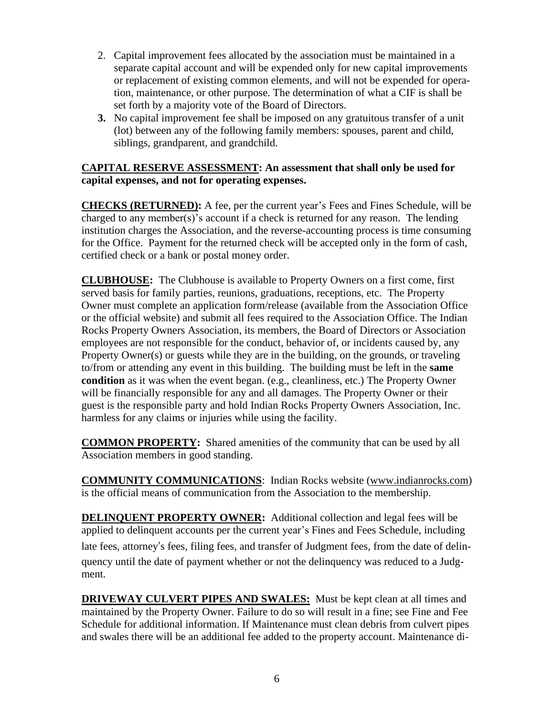- 2. Capital improvement fees allocated by the association must be maintained in a separate capital account and will be expended only for new capital improvements or replacement of existing common elements, and will not be expended for operation, maintenance, or other purpose. The determination of what a CIF is shall be set forth by a majority vote of the Board of Directors.
- **3.** No capital improvement fee shall be imposed on any gratuitous transfer of a unit (lot) between any of the following family members: spouses, parent and child, siblings, grandparent, and grandchild.

## **CAPITAL RESERVE ASSESSMENT: An assessment that shall only be used for capital expenses, and not for operating expenses.**

**CHECKS (RETURNED):** A fee, per the current year's Fees and Fines Schedule, will be charged to any member(s)'s account if a check is returned for any reason. The lending institution charges the Association, and the reverse-accounting process is time consuming for the Office. Payment for the returned check will be accepted only in the form of cash, certified check or a bank or postal money order.

**CLUBHOUSE:** The Clubhouse is available to Property Owners on a first come, first served basis for family parties, reunions, graduations, receptions, etc. The Property Owner must complete an application form/release (available from the Association Office or the official website) and submit all fees required to the Association Office. The Indian Rocks Property Owners Association, its members, the Board of Directors or Association employees are not responsible for the conduct, behavior of, or incidents caused by, any Property Owner(s) or guests while they are in the building, on the grounds, or traveling to/from or attending any event in this building. The building must be left in the **same condition** as it was when the event began. (e.g., cleanliness, etc.) The Property Owner will be financially responsible for any and all damages. The Property Owner or their guest is the responsible party and hold Indian Rocks Property Owners Association, Inc. harmless for any claims or injuries while using the facility.

**COMMON PROPERTY:** Shared amenities of the community that can be used by all Association members in good standing.

**COMMUNITY COMMUNICATIONS**: Indian Rocks website [\(www.indianrocks.com\)](http://www.indianrocks.com/) is the official means of communication from the Association to the membership.

**DELINQUENT PROPERTY OWNER:** Additional collection and legal fees will be applied to delinquent accounts per the current year's Fines and Fees Schedule, including late fees, attorney's fees, filing fees, and transfer of Judgment fees, from the date of delinquency until the date of payment whether or not the delinquency was reduced to a Judgment.

**DRIVEWAY CULVERT PIPES AND SWALES:** Must be kept clean at all times and maintained by the Property Owner. Failure to do so will result in a fine; see Fine and Fee Schedule for additional information. If Maintenance must clean debris from culvert pipes and swales there will be an additional fee added to the property account. Maintenance di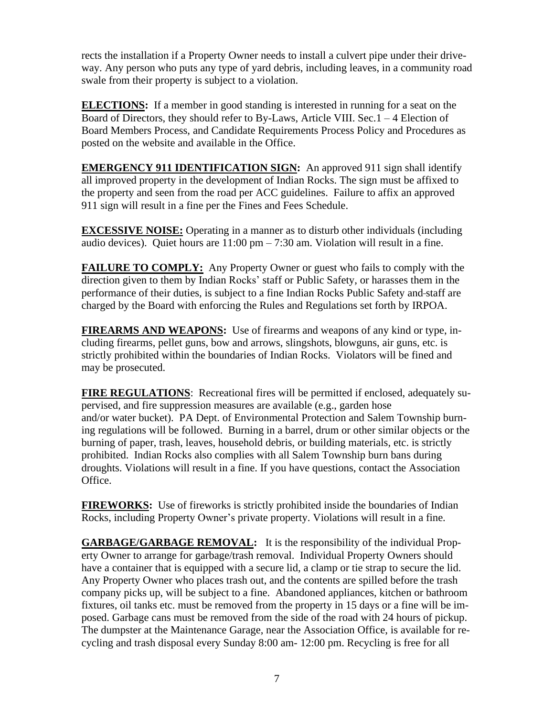rects the installation if a Property Owner needs to install a culvert pipe under their driveway. Any person who puts any type of yard debris, including leaves, in a community road swale from their property is subject to a violation.

**ELECTIONS:** If a member in good standing is interested in running for a seat on the Board of Directors, they should refer to By-Laws, Article VIII. Sec.1 – 4 Election of Board Members Process, and Candidate Requirements Process Policy and Procedures as posted on the website and available in the Office.

**EMERGENCY 911 IDENTIFICATION SIGN:** An approved 911 sign shall identify all improved property in the development of Indian Rocks. The sign must be affixed to the property and seen from the road per ACC guidelines. Failure to affix an approved 911 sign will result in a fine per the Fines and Fees Schedule.

**EXCESSIVE NOISE:** Operating in a manner as to disturb other individuals (including audio devices). Quiet hours are  $11:00 \text{ pm} - 7:30 \text{ am}$ . Violation will result in a fine.

**FAILURE TO COMPLY:** Any Property Owner or guest who fails to comply with the direction given to them by Indian Rocks' staff or Public Safety, or harasses them in the performance of their duties, is subject to a fine Indian Rocks Public Safety and staff are charged by the Board with enforcing the Rules and Regulations set forth by IRPOA.

**FIREARMS AND WEAPONS:** Use of firearms and weapons of any kind or type, including firearms, pellet guns, bow and arrows, slingshots, blowguns, air guns, etc. is strictly prohibited within the boundaries of Indian Rocks. Violators will be fined and may be prosecuted.

**FIRE REGULATIONS**: Recreational fires will be permitted if enclosed, adequately supervised, and fire suppression measures are available (e.g., garden hose and/or water bucket). PA Dept. of Environmental Protection and Salem Township burning regulations will be followed. Burning in a barrel, drum or other similar objects or the burning of paper, trash, leaves, household debris, or building materials, etc. is strictly prohibited. Indian Rocks also complies with all Salem Township burn bans during droughts. Violations will result in a fine. If you have questions, contact the Association Office.

**FIREWORKS:** Use of fireworks is strictly prohibited inside the boundaries of Indian Rocks, including Property Owner's private property. Violations will result in a fine.

**GARBAGE/GARBAGE REMOVAL:** It is the responsibility of the individual Property Owner to arrange for garbage/trash removal. Individual Property Owners should have a container that is equipped with a secure lid, a clamp or tie strap to secure the lid. Any Property Owner who places trash out, and the contents are spilled before the trash company picks up, will be subject to a fine. Abandoned appliances, kitchen or bathroom fixtures, oil tanks etc. must be removed from the property in 15 days or a fine will be imposed. Garbage cans must be removed from the side of the road with 24 hours of pickup. The dumpster at the Maintenance Garage, near the Association Office, is available for recycling and trash disposal every Sunday 8:00 am- 12:00 pm. Recycling is free for all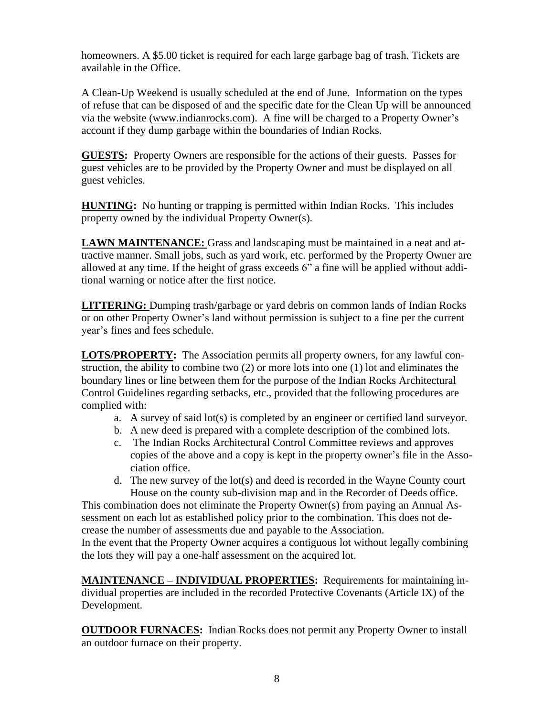homeowners. A \$5.00 ticket is required for each large garbage bag of trash. Tickets are available in the Office.

A Clean-Up Weekend is usually scheduled at the end of June. Information on the types of refuse that can be disposed of and the specific date for the Clean Up will be announced via the website [\(www.indianrocks.com\)](http://www.indianrocks.com/). A fine will be charged to a Property Owner's account if they dump garbage within the boundaries of Indian Rocks.

**GUESTS:** Property Owners are responsible for the actions of their guests. Passes for guest vehicles are to be provided by the Property Owner and must be displayed on all guest vehicles.

**HUNTING:** No hunting or trapping is permitted within Indian Rocks. This includes property owned by the individual Property Owner(s).

**LAWN MAINTENANCE:** Grass and landscaping must be maintained in a neat and attractive manner. Small jobs, such as yard work, etc. performed by the Property Owner are allowed at any time. If the height of grass exceeds 6" a fine will be applied without additional warning or notice after the first notice.

**LITTERING:** Dumping trash/garbage or yard debris on common lands of Indian Rocks or on other Property Owner's land without permission is subject to a fine per the current year's fines and fees schedule.

**LOTS/PROPERTY:** The Association permits all property owners, for any lawful construction, the ability to combine two (2) or more lots into one (1) lot and eliminates the boundary lines or line between them for the purpose of the Indian Rocks Architectural Control Guidelines regarding setbacks, etc., provided that the following procedures are complied with:

- a. A survey of said lot(s) is completed by an engineer or certified land surveyor.
- b. A new deed is prepared with a complete description of the combined lots.
- c. The Indian Rocks Architectural Control Committee reviews and approves copies of the above and a copy is kept in the property owner's file in the Association office.
- d. The new survey of the lot(s) and deed is recorded in the Wayne County court House on the county sub-division map and in the Recorder of Deeds office.

This combination does not eliminate the Property Owner(s) from paying an Annual Assessment on each lot as established policy prior to the combination. This does not decrease the number of assessments due and payable to the Association.

In the event that the Property Owner acquires a contiguous lot without legally combining the lots they will pay a one-half assessment on the acquired lot.

**MAINTENANCE – INDIVIDUAL PROPERTIES:** Requirements for maintaining individual properties are included in the recorded Protective Covenants (Article IX) of the Development.

**OUTDOOR FURNACES:** Indian Rocks does not permit any Property Owner to install an outdoor furnace on their property.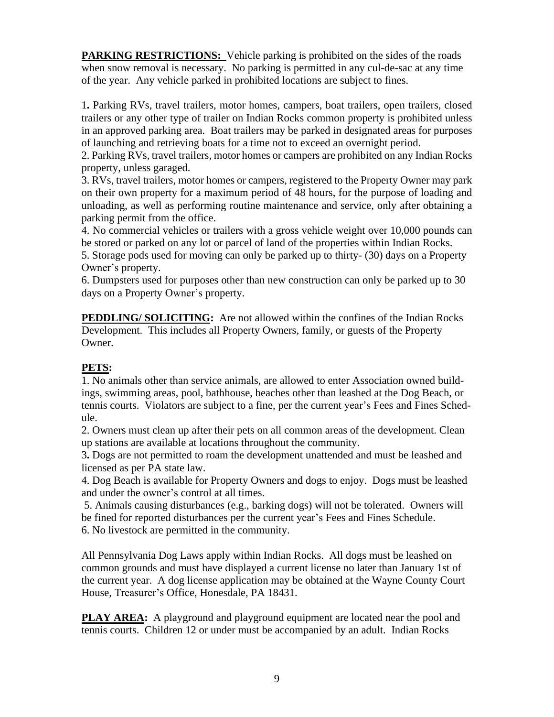**PARKING RESTRICTIONS:** Vehicle parking is prohibited on the sides of the roads when snow removal is necessary. No parking is permitted in any cul-de-sac at any time of the year. Any vehicle parked in prohibited locations are subject to fines.

1**.** Parking RVs, travel trailers, motor homes, campers, boat trailers, open trailers, closed trailers or any other type of trailer on Indian Rocks common property is prohibited unless in an approved parking area. Boat trailers may be parked in designated areas for purposes of launching and retrieving boats for a time not to exceed an overnight period.

2. Parking RVs, travel trailers, motor homes or campers are prohibited on any Indian Rocks property, unless garaged.

3. RVs, travel trailers, motor homes or campers, registered to the Property Owner may park on their own property for a maximum period of 48 hours, for the purpose of loading and unloading, as well as performing routine maintenance and service, only after obtaining a parking permit from the office.

4. No commercial vehicles or trailers with a gross vehicle weight over 10,000 pounds can be stored or parked on any lot or parcel of land of the properties within Indian Rocks.

5. Storage pods used for moving can only be parked up to thirty- (30) days on a Property Owner's property.

6. Dumpsters used for purposes other than new construction can only be parked up to 30 days on a Property Owner's property.

**PEDDLING/ SOLICITING:** Are not allowed within the confines of the Indian Rocks Development. This includes all Property Owners, family, or guests of the Property Owner.

# **PETS:**

1. No animals other than service animals, are allowed to enter Association owned buildings, swimming areas, pool, bathhouse, beaches other than leashed at the Dog Beach, or tennis courts. Violators are subject to a fine, per the current year's Fees and Fines Schedule.

2. Owners must clean up after their pets on all common areas of the development. Clean up stations are available at locations throughout the community.

3**.** Dogs are not permitted to roam the development unattended and must be leashed and licensed as per PA state law.

4. Dog Beach is available for Property Owners and dogs to enjoy. Dogs must be leashed and under the owner's control at all times.

5. Animals causing disturbances (e.g., barking dogs) will not be tolerated. Owners will be fined for reported disturbances per the current year's Fees and Fines Schedule. 6. No livestock are permitted in the community.

All Pennsylvania Dog Laws apply within Indian Rocks. All dogs must be leashed on common grounds and must have displayed a current license no later than January 1st of the current year. A dog license application may be obtained at the Wayne County Court House, Treasurer's Office, Honesdale, PA 18431.

**PLAY AREA:** A playground and playground equipment are located near the pool and tennis courts. Children 12 or under must be accompanied by an adult. Indian Rocks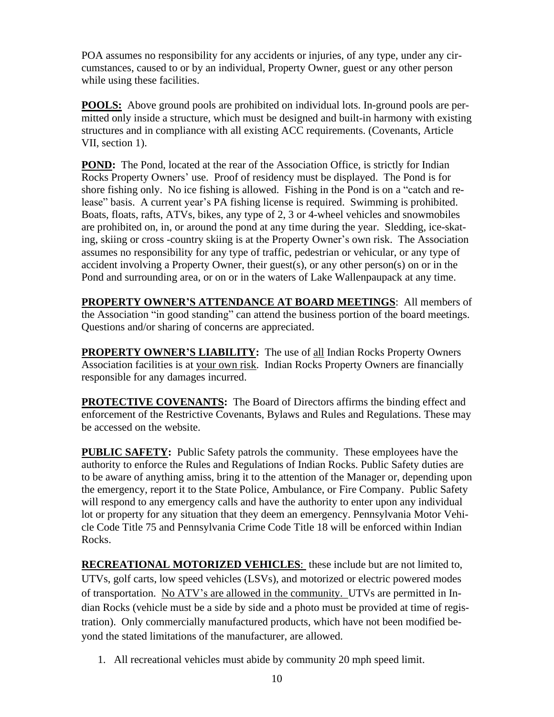POA assumes no responsibility for any accidents or injuries, of any type, under any circumstances, caused to or by an individual, Property Owner, guest or any other person while using these facilities.

**POOLS:** Above ground pools are prohibited on individual lots. In-ground pools are permitted only inside a structure, which must be designed and built-in harmony with existing structures and in compliance with all existing ACC requirements. (Covenants, Article VII, section 1).

**POND:** The Pond, located at the rear of the Association Office, is strictly for Indian Rocks Property Owners' use. Proof of residency must be displayed. The Pond is for shore fishing only. No ice fishing is allowed. Fishing in the Pond is on a "catch and release" basis. A current year's PA fishing license is required. Swimming is prohibited. Boats, floats, rafts, ATVs, bikes, any type of 2, 3 or 4-wheel vehicles and snowmobiles are prohibited on, in, or around the pond at any time during the year. Sledding, ice-skating, skiing or cross -country skiing is at the Property Owner's own risk. The Association assumes no responsibility for any type of traffic, pedestrian or vehicular, or any type of accident involving a Property Owner, their guest(s), or any other person(s) on or in the Pond and surrounding area, or on or in the waters of Lake Wallenpaupack at any time.

**PROPERTY OWNER'S ATTENDANCE AT BOARD MEETINGS**: All members of the Association "in good standing" can attend the business portion of the board meetings. Questions and/or sharing of concerns are appreciated.

**PROPERTY OWNER'S LIABILITY:** The use of all Indian Rocks Property Owners Association facilities is at your own risk. Indian Rocks Property Owners are financially responsible for any damages incurred.

**PROTECTIVE COVENANTS:** The Board of Directors affirms the binding effect and enforcement of the Restrictive Covenants, Bylaws and Rules and Regulations. These may be accessed on the website.

**PUBLIC SAFETY:** Public Safety patrols the community. These employees have the authority to enforce the Rules and Regulations of Indian Rocks. Public Safety duties are to be aware of anything amiss, bring it to the attention of the Manager or, depending upon the emergency, report it to the State Police, Ambulance, or Fire Company. Public Safety will respond to any emergency calls and have the authority to enter upon any individual lot or property for any situation that they deem an emergency. Pennsylvania Motor Vehicle Code Title 75 and Pennsylvania Crime Code Title 18 will be enforced within Indian Rocks.

**RECREATIONAL MOTORIZED VEHICLES**: these include but are not limited to, UTVs, golf carts, low speed vehicles (LSVs), and motorized or electric powered modes of transportation. No ATV's are allowed in the community. UTVs are permitted in Indian Rocks (vehicle must be a side by side and a photo must be provided at time of registration). Only commercially manufactured products, which have not been modified beyond the stated limitations of the manufacturer, are allowed.

1. All recreational vehicles must abide by community 20 mph speed limit.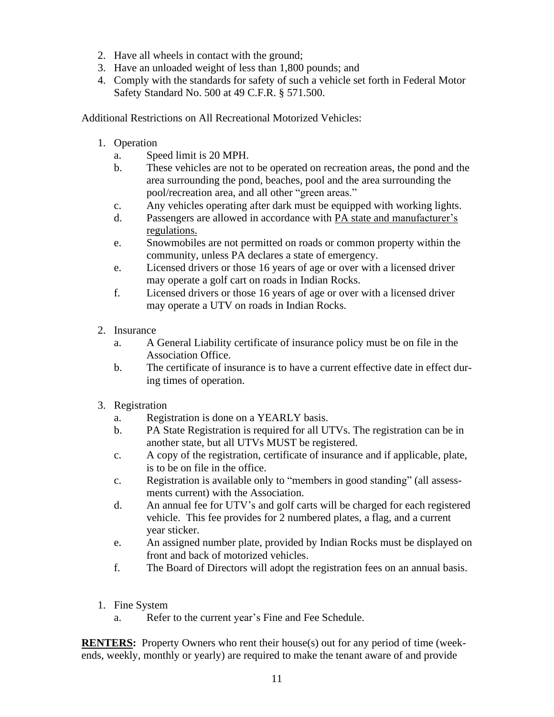- 2. Have all wheels in contact with the ground;
- 3. Have an unloaded weight of less than 1,800 pounds; and
- 4. Comply with the standards for safety of such a vehicle set forth in Federal Motor Safety Standard No. 500 at 49 C.F.R. § 571.500.

Additional Restrictions on All Recreational Motorized Vehicles:

- 1. Operation
	- a. Speed limit is 20 MPH.
	- b. These vehicles are not to be operated on recreation areas, the pond and the area surrounding the pond, beaches, pool and the area surrounding the pool/recreation area, and all other "green areas."
	- c. Any vehicles operating after dark must be equipped with working lights.
	- d. Passengers are allowed in accordance with PA state and manufacturer's regulations.
	- e. Snowmobiles are not permitted on roads or common property within the community, unless PA declares a state of emergency.
	- e. Licensed drivers or those 16 years of age or over with a licensed driver may operate a golf cart on roads in Indian Rocks.
	- f. Licensed drivers or those 16 years of age or over with a licensed driver may operate a UTV on roads in Indian Rocks.
- 2. Insurance
	- a. A General Liability certificate of insurance policy must be on file in the Association Office.
	- b. The certificate of insurance is to have a current effective date in effect during times of operation.
- 3. Registration
	- a. Registration is done on a YEARLY basis.
	- b. PA State Registration is required for all UTVs. The registration can be in another state, but all UTVs MUST be registered.
	- c. A copy of the registration, certificate of insurance and if applicable, plate, is to be on file in the office.
	- c. Registration is available only to "members in good standing" (all assessments current) with the Association.
	- d. An annual fee for UTV's and golf carts will be charged for each registered vehicle. This fee provides for 2 numbered plates, a flag, and a current year sticker.
	- e. An assigned number plate, provided by Indian Rocks must be displayed on front and back of motorized vehicles.
	- f. The Board of Directors will adopt the registration fees on an annual basis.
- 1. Fine System
	- a. Refer to the current year's Fine and Fee Schedule.

**RENTERS:** Property Owners who rent their house(s) out for any period of time (weekends, weekly, monthly or yearly) are required to make the tenant aware of and provide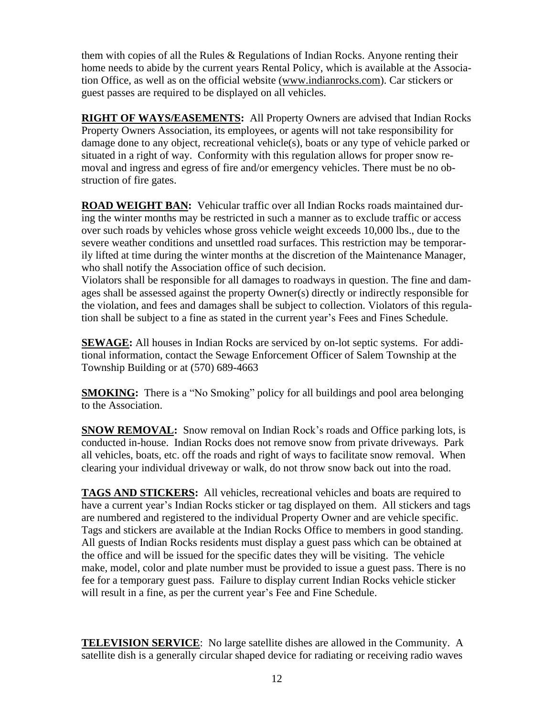them with copies of all the Rules & Regulations of Indian Rocks. Anyone renting their home needs to abide by the current years Rental Policy, which is available at the Association Office, as well as on the official website [\(www.indianrocks.com\)](http://www.indianrocks.com/). Car stickers or guest passes are required to be displayed on all vehicles.

**RIGHT OF WAYS/EASEMENTS:** All Property Owners are advised that Indian Rocks Property Owners Association, its employees, or agents will not take responsibility for damage done to any object, recreational vehicle(s), boats or any type of vehicle parked or situated in a right of way. Conformity with this regulation allows for proper snow removal and ingress and egress of fire and/or emergency vehicles. There must be no obstruction of fire gates.

**ROAD WEIGHT BAN:** Vehicular traffic over all Indian Rocks roads maintained during the winter months may be restricted in such a manner as to exclude traffic or access over such roads by vehicles whose gross vehicle weight exceeds 10,000 lbs., due to the severe weather conditions and unsettled road surfaces. This restriction may be temporarily lifted at time during the winter months at the discretion of the Maintenance Manager, who shall notify the Association office of such decision.

Violators shall be responsible for all damages to roadways in question. The fine and damages shall be assessed against the property Owner(s) directly or indirectly responsible for the violation, and fees and damages shall be subject to collection. Violators of this regulation shall be subject to a fine as stated in the current year's Fees and Fines Schedule.

**SEWAGE:** All houses in Indian Rocks are serviced by on-lot septic systems. For additional information, contact the Sewage Enforcement Officer of Salem Township at the Township Building or at (570) 689-4663

**SMOKING:** There is a "No Smoking" policy for all buildings and pool area belonging to the Association.

**SNOW REMOVAL:** Snow removal on Indian Rock's roads and Office parking lots, is conducted in-house. Indian Rocks does not remove snow from private driveways. Park all vehicles, boats, etc. off the roads and right of ways to facilitate snow removal. When clearing your individual driveway or walk, do not throw snow back out into the road.

**TAGS AND STICKERS:** All vehicles, recreational vehicles and boats are required to have a current year's Indian Rocks sticker or tag displayed on them. All stickers and tags are numbered and registered to the individual Property Owner and are vehicle specific. Tags and stickers are available at the Indian Rocks Office to members in good standing. All guests of Indian Rocks residents must display a guest pass which can be obtained at the office and will be issued for the specific dates they will be visiting. The vehicle make, model, color and plate number must be provided to issue a guest pass. There is no fee for a temporary guest pass. Failure to display current Indian Rocks vehicle sticker will result in a fine, as per the current year's Fee and Fine Schedule.

**TELEVISION SERVICE**: No large satellite dishes are allowed in the Community. A satellite dish is a generally circular shaped device for radiating or receiving radio waves